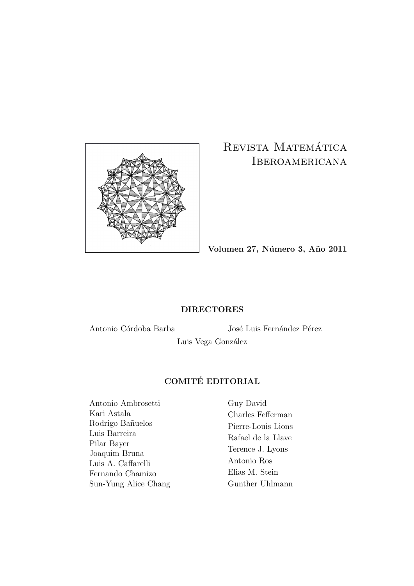

### REVISTA MATEMÁTICA IBEROAMERICANA

**Volumen 27, N´umero 3, A˜no 2011**

#### **DIRECTORES**

Antonio Córdoba Barba José Luis Fernández Pérez

Luis Vega González

### **COMITE EDITORIAL ´**

Antonio Ambrosetti Kari Astala Rodrigo Bañuelos Luis Barreira Pilar Bayer Joaquim Bruna Luis A. Caffarelli Fernando Chamizo Sun-Yung Alice Chang Guy David Charles Fefferman Pierre-Louis Lions Rafael de la Llave Terence J. Lyons Antonio Ros Elias M. Stein Gunther Uhlmann